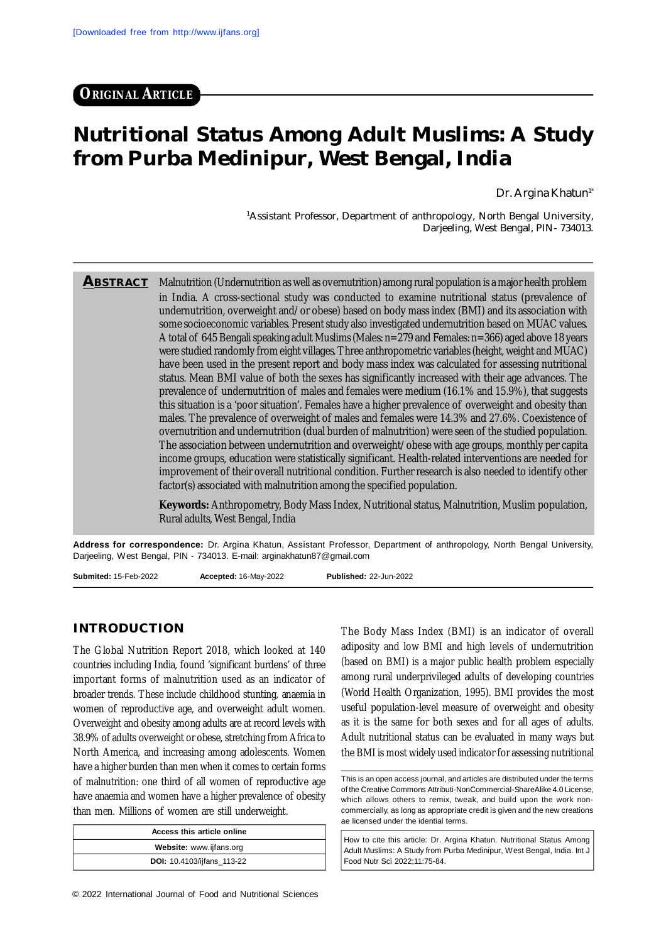# **Nutritional Status Among Adult Muslims: A Study from Purba Medinipur, West Bengal, India**

Dr. Argina Khatun<sup>1\*</sup>

<sup>1</sup>Assistant Professor, Department of anthropology, North Bengal University, Darjeeling, West Bengal, PIN- 734013.

**ABSTRACT** Malnutrition (Undernutrition as well as overnutrition) among rural population is a major health problem in India. A cross-sectional study was conducted to examine nutritional status (prevalence of undernutrition, overweight and/or obese) based on body mass index (BMI) and its association with some socioeconomic variables. Present study also investigated undernutrition based on MUAC values. A total of 645 Bengali speaking adult Muslims (Males: n=279 and Females: n=366) aged above 18 years were studied randomly from eight villages. Three anthropometric variables (height, weight and MUAC) have been used in the present report and body mass index was calculated for assessing nutritional status. Mean BMI value of both the sexes has significantly increased with their age advances. The prevalence of undernutrition of males and females were medium (16.1% and 15.9%), that suggests this situation is a 'poor situation'. Females have a higher prevalence of overweight and obesity than males. The prevalence of overweight of males and females were 14.3% and 27.6%. Coexistence of overnutrition and undernutrition (dual burden of malnutrition) were seen of the studied population. The association between undernutrition and overweight/obese with age groups, monthly per capita income groups, education were statistically significant. Health-related interventions are needed for improvement of their overall nutritional condition. Further research is also needed to identify other factor(s) associated with malnutrition among the specified population.

> **Keywords:** Anthropometry, Body Mass Index, Nutritional status, Malnutrition, Muslim population, Rural adults, West Bengal, India

**Address for correspondence:** Dr. Argina Khatun, Assistant Professor, Department of anthropology, North Bengal University, Darjeeling, West Bengal, PIN - 734013. E-mail: [arginakhatun87@gmail.com](mailto:arginakhatun87@gmail.com)

**Submited:** 15-Feb-2022 **Accepted:** 16-May-2022 **Published:** 22-Jun-2022

## **INTRODUCTION**

The Global Nutrition Report 2018, which looked at 140 countries including India, found 'significant burdens' of three important forms of malnutrition used as an indicator of broader trends. These include childhood stunting, anaemia in women of reproductive age, and overweight adult women. Overweight and obesity among adults are at record levels with 38.9% of adults overweight or obese, stretching from Africa to North America, and increasing among adolescents. Women have a higher burden than men when it comes to certain forms of malnutrition: one third of all women of reproductive age have anaemia and women have a higher prevalence of obesity than men. Millions of women are still underweight.

| Access this article online        |  |  |
|-----------------------------------|--|--|
| Website: www.ijfans.org           |  |  |
| <b>DOI:</b> 10.4103/ijfans 113-22 |  |  |

The Body Mass Index (BMI) is an indicator of overall adiposity and low BMI and high levels of undernutrition (based on BMI) is a major public health problem especially among rural underprivileged adults of developing countries (World Health Organization, 1995). BMI provides the most useful population-level measure of overweight and obesity as it is the same for both sexes and for all ages of adults. Adult nutritional status can be evaluated in many ways but the BMI is most widely used indicator for assessing nutritional

How to cite this article: Dr. Argina Khatun. Nutritional Status Among Adult Muslims: A Study from Purba Medinipur, West Bengal, India. Int J Food Nutr Sci 2022;11:75-84.

This is an open access journal, and articles are distributed under the terms of the Creative Commons Attributi-NonCommercial-ShareAlike 4.0 License, which allows others to remix, tweak, and build upon the work noncommercially, as long as appropriate credit is given and the new creations ae licensed under the idential terms.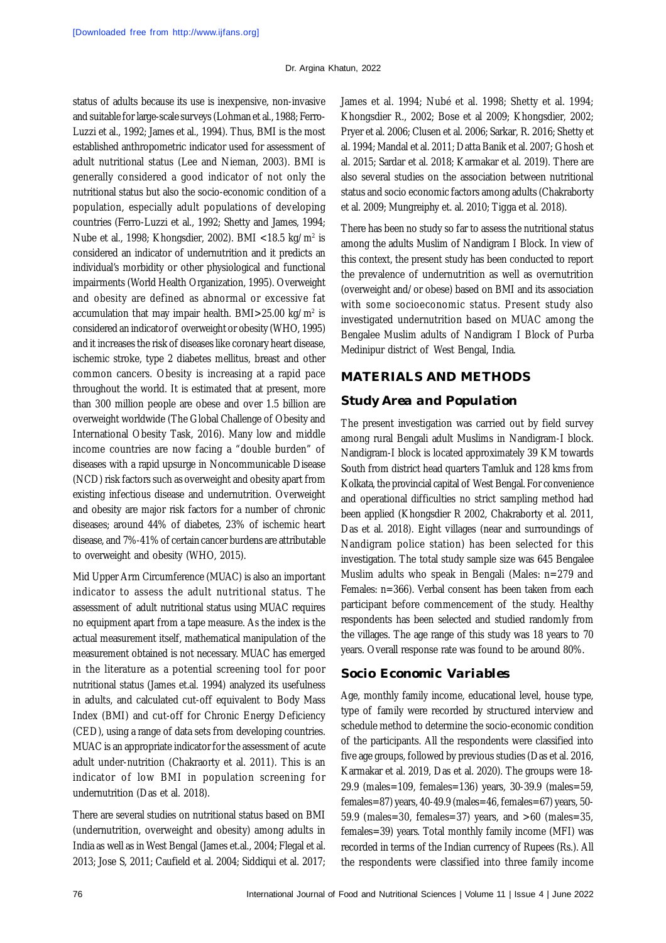status of adults because its use is inexpensive, non-invasive and suitable for large-scale surveys (Lohman et al., 1988; Ferro-Luzzi et al., 1992; James et al., 1994). Thus, BMI is the most established anthropometric indicator used for assessment of adult nutritional status (Lee and Nieman, 2003). BMI is generally considered a good indicator of not only the nutritional status but also the socio-economic condition of a population, especially adult populations of developing countries (Ferro-Luzzi et al., 1992; Shetty and James, 1994; Nube et al., 1998; Khongsdier, 2002). BMI <18.5 kg/m<sup>2</sup> is considered an indicator of undernutrition and it predicts an individual's morbidity or other physiological and functional impairments (World Health Organization, 1995). Overweight and obesity are defined as abnormal or excessive fat accumulation that may impair health. BMI>25.00 kg/m<sup>2</sup> is considered an indicator of overweight or obesity (WHO, 1995) and it increases the risk of diseases like coronary heart disease, ischemic stroke, type 2 diabetes mellitus, breast and other common cancers. Obesity is increasing at a rapid pace throughout the world. It is estimated that at present, more than 300 million people are obese and over 1.5 billion are overweight worldwide (The Global Challenge of Obesity and International Obesity Task, 2016). Many low and middle income countries are now facing a "double burden" of diseases with a rapid upsurge in Noncommunicable Disease (NCD) risk factors such as overweight and obesity apart from existing infectious disease and undernutrition. Overweight and obesity are major risk factors for a number of chronic diseases; around 44% of diabetes, 23% of ischemic heart disease, and 7%-41% of certain cancer burdens are attributable to overweight and obesity (WHO, 2015).

Mid Upper Arm Circumference (MUAC) is also an important indicator to assess the adult nutritional status. The assessment of adult nutritional status using MUAC requires no equipment apart from a tape measure. As the index is the actual measurement itself, mathematical manipulation of the measurement obtained is not necessary. MUAC has emerged in the literature as a potential screening tool for poor nutritional status (James et.al. 1994) analyzed its usefulness in adults, and calculated cut-off equivalent to Body Mass Index (BMI) and cut-off for Chronic Energy Deficiency (CED), using a range of data sets from developing countries. MUAC is an appropriate indicator for the assessment of acute adult under-nutrition (Chakraorty et al. 2011). This is an indicator of low BMI in population screening for undernutrition (Das et al. 2018).

There are several studies on nutritional status based on BMI (undernutrition, overweight and obesity) among adults in India as well as in West Bengal (James et.al., 2004; Flegal et al. 2013; Jose S, 2011; Caufield et al. 2004; Siddiqui et al. 2017; James et al. 1994; Nubé et al. 1998; Shetty et al. 1994; Khongsdier R., 2002; Bose et al 2009; Khongsdier, 2002; Pryer et al. 2006; Clusen et al. 2006; Sarkar, R. 2016; Shetty et al. 1994; Mandal et al. 2011; Datta Banik et al. 2007; Ghosh et al. 2015; Sardar et al. 2018; Karmakar et al. 2019). There are also several studies on the association between nutritional status and socio economic factors among adults (Chakraborty et al. 2009; Mungreiphy et. al. 2010; Tigga et al. 2018).

There has been no study so far to assess the nutritional status among the adults Muslim of Nandigram I Block. In view of this context, the present study has been conducted to report the prevalence of undernutrition as well as overnutrition (overweight and/or obese) based on BMI and its association with some socioeconomic status. Present study also investigated undernutrition based on MUAC among the Bengalee Muslim adults of Nandigram I Block of Purba Medinipur district of West Bengal, India.

## **MATERIALS AND METHODS**

## *Study Area and Population*

The present investigation was carried out by field survey among rural Bengali adult Muslims in Nandigram-I block. Nandigram-I block is located approximately 39 KM towards South from district head quarters Tamluk and 128 kms from Kolkata, the provincial capital of West Bengal. For convenience and operational difficulties no strict sampling method had been applied (Khongsdier R 2002, Chakraborty et al. 2011, Das et al. 2018). Eight villages (near and surroundings of Nandigram police station) has been selected for this investigation. The total study sample size was 645 Bengalee Muslim adults who speak in Bengali (Males: n=279 and Females: n=366). Verbal consent has been taken from each participant before commencement of the study. Healthy respondents has been selected and studied randomly from the villages. The age range of this study was 18 years to 70 years. Overall response rate was found to be around 80%.

## *Socio Economic Variables*

Age, monthly family income, educational level, house type, type of family were recorded by structured interview and schedule method to determine the socio-economic condition of the participants. All the respondents were classified into five age groups, followed by previous studies (Das et al. 2016, Karmakar et al. 2019, Das et al. 2020). The groups were 18- 29.9 (males=109, females=136) years, 30-39.9 (males=59, females=87) years, 40-49.9 (males=46, females=67) years, 50- 59.9 (males=30, females=37) years, and  $>60$  (males=35, females=39) years. Total monthly family income (MFI) was recorded in terms of the Indian currency of Rupees (Rs.). All the respondents were classified into three family income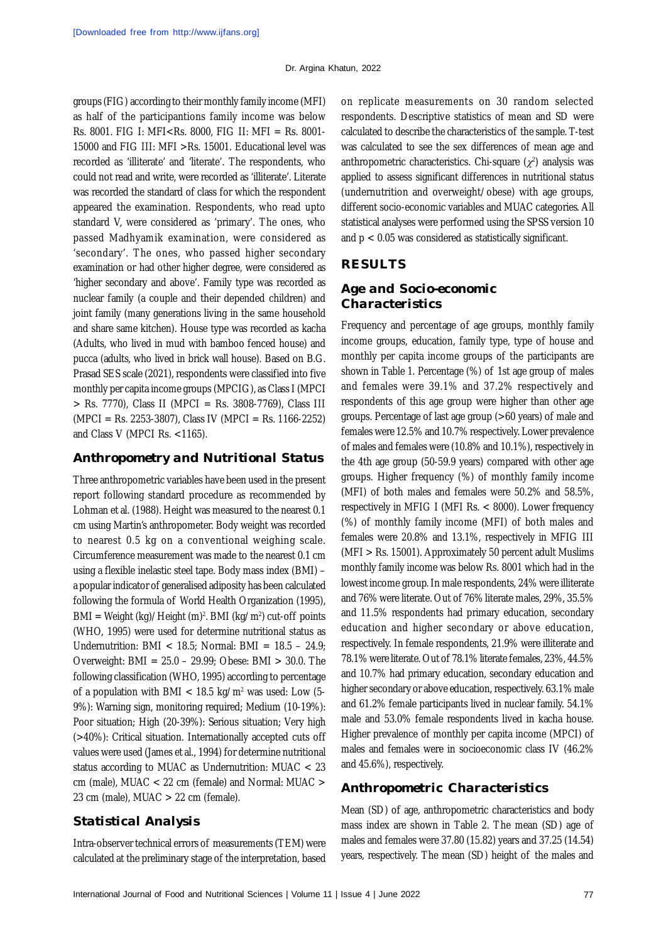groups (FIG) according to their monthly family income (MFI) as half of the participantions family income was below Rs. 8001. FIG I: MFI<Rs. 8000, FIG II: MFI = Rs. 8001- 15000 and FIG III: MFI >Rs. 15001. Educational level was recorded as 'illiterate' and 'literate'. The respondents, who could not read and write, were recorded as 'illiterate'. Literate was recorded the standard of class for which the respondent appeared the examination. Respondents, who read upto standard V, were considered as 'primary'. The ones, who passed Madhyamik examination, were considered as 'secondary'. The ones, who passed higher secondary examination or had other higher degree, were considered as 'higher secondary and above'. Family type was recorded as nuclear family (a couple and their depended children) and joint family (many generations living in the same household and share same kitchen). House type was recorded as kacha (Adults, who lived in mud with bamboo fenced house) and pucca (adults, who lived in brick wall house). Based on B.G. Prasad SES scale (2021), respondents were classified into five monthly per capita income groups (MPCIG), as Class I (MPCI > Rs. 7770), Class II (MPCI = Rs. 3808-7769), Class III (MPCI = Rs. 2253-3807), Class IV (MPCI = Rs. 1166-2252) and Class V (MPCI Rs. <1165).

## *Anthropometry and Nutritional Status*

Three anthropometric variables have been used in the present report following standard procedure as recommended by Lohman et al. (1988). Height was measured to the nearest 0.1 cm using Martin's anthropometer. Body weight was recorded to nearest 0.5 kg on a conventional weighing scale. Circumference measurement was made to the nearest 0.1 cm using a flexible inelastic steel tape. Body mass index (BMI) – a popular indicator of generalised adiposity has been calculated following the formula of World Health Organization (1995), BMI = Weight (kg)/Height (m)². BMI (kg/m²) cut-off points (WHO, 1995) were used for determine nutritional status as Undernutrition: BMI < 18.5; Normal: BMI =  $18.5 - 24.9$ ; Overweight: BMI = 25.0 – 29.99; Obese: BMI > 30.0. The following classification (WHO, 1995) according to percentage of a population with BMI < 18.5 kg/m<sup>2</sup> was used: Low (5- 9%): Warning sign, monitoring required; Medium (10-19%): Poor situation; High (20-39%): Serious situation; Very high (>40%): Critical situation. Internationally accepted cuts off values were used (James et al., 1994) for determine nutritional status according to MUAC as Undernutrition: MUAC < 23 cm (male), MUAC < 22 cm (female) and Normal: MUAC > 23 cm (male), MUAC  $>$  22 cm (female).

## *Statistical Analysis*

Intra-observer technical errors of measurements (TEM) were calculated at the preliminary stage of the interpretation, based on replicate measurements on 30 random selected respondents. Descriptive statistics of mean and SD were calculated to describe the characteristics of the sample. T-test was calculated to see the sex differences of mean age and anthropometric characteristics. Chi-square  $(\chi^2)$  analysis was applied to assess significant differences in nutritional status (undernutrition and overweight/obese) with age groups, different socio-economic variables and MUAC categories. All statistical analyses were performed using the SPSS version 10 and p < 0.05 was considered as statistically significant.

# **RESULTS**

# *Age and Socio-economic Characteristics*

Frequency and percentage of age groups, monthly family income groups, education, family type, type of house and monthly per capita income groups of the participants are shown in Table 1. Percentage (%) of 1st age group of males and females were 39.1% and 37.2% respectively and respondents of this age group were higher than other age groups. Percentage of last age group (>60 years) of male and females were 12.5% and 10.7% respectively. Lower prevalence of males and females were (10.8% and 10.1%), respectively in the 4th age group (50-59.9 years) compared with other age groups. Higher frequency (%) of monthly family income (MFI) of both males and females were 50.2% and 58.5%, respectively in MFIG I (MFI Rs. < 8000). Lower frequency (%) of monthly family income (MFI) of both males and females were 20.8% and 13.1%, respectively in MFIG III (MFI > Rs. 15001). Approximately 50 percent adult Muslims monthly family income was below Rs. 8001 which had in the lowest income group. In male respondents, 24% were illiterate and 76% were literate. Out of 76% literate males, 29%, 35.5% and 11.5% respondents had primary education, secondary education and higher secondary or above education, respectively. In female respondents, 21.9% were illiterate and 78.1% were literate. Out of 78.1% literate females, 23%, 44.5% and 10.7% had primary education, secondary education and higher secondary or above education, respectively. 63.1% male and 61.2% female participants lived in nuclear family. 54.1% male and 53.0% female respondents lived in kacha house. Higher prevalence of monthly per capita income (MPCI) of males and females were in socioeconomic class IV (46.2% and 45.6%), respectively.

## *Anthropometric Characteristics*

Mean (SD) of age, anthropometric characteristics and body mass index are shown in Table 2. The mean (SD) age of males and females were 37.80 (15.82) years and 37.25 (14.54) years, respectively. The mean (SD) height of the males and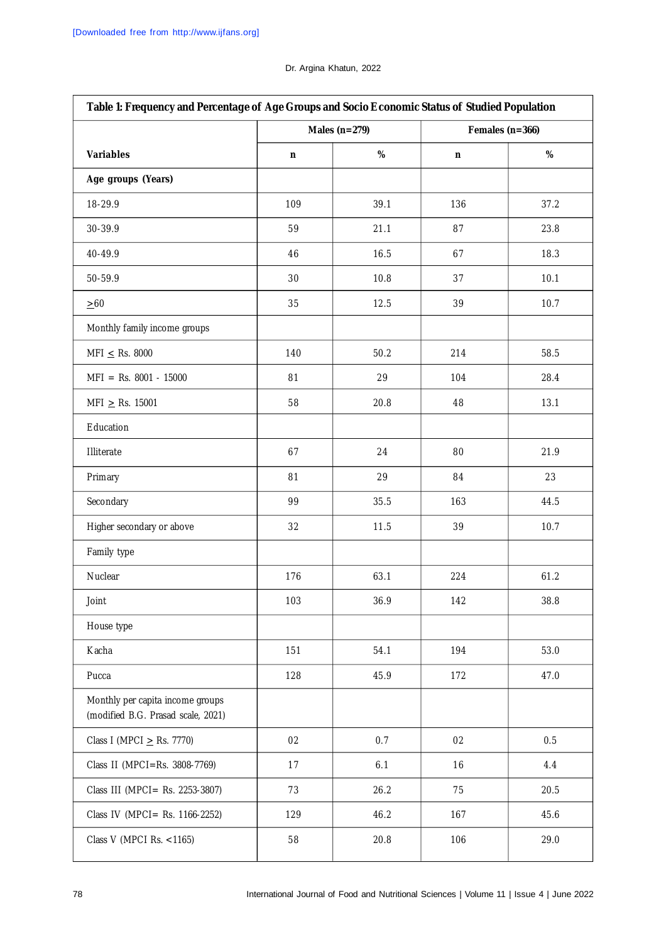# **Table 1: Frequency and Percentage of Age Groups and Socio Economic Status of Studied Population Males (n=279) Females (n=366) Variables n % n % Age groups (Years)** 18-29.9 109 39.1 136 37.2 30-39.9 59 21.1 87 23.8  $40-49.9$  16.5 67 18.3 50-59.9 30 10.8 37 10.1  $\geq 60$  10.7 10.7 12.5 10.7 12.5 10.7 Monthly family income groups  $MFI \le Rs. 8000$  140 50.2 214 58.5 MFI = Rs. 8001 - 15000  $\vert$  81  $\vert$  29 104 104 28.4  $MFI \geq RS. 15001$  58 20.8 48 13.1 Education Illiterate 67 24 80 21.9 Primary 81 29 84 23 Secondary 99 35.5 163 44.5 Higher secondary or above 1 32 11.5 39 10.7 Family type Nuclear 176 | 176 | 63.1 | 224 | 61.2 Joint 103 36.9 142 38.8 House type Kacha 151 | 151 | 54.1 | 194 | 53.0 Pucca 128 45.9 172 47.0 Monthly per capita income groups (modified B.G. Prasad scale, 2021) Class I (MPCI  $\ge$  Rs. 7770) 02 0.7 0.7 02 0.5 Class II (MPCI=Rs. 3808-7769) | 17 | 6.1 | 16 | 4.4 Class III (MPCI= Rs. 2253-3807) 73 26.2 75 20.5 Class IV (MPCI= Rs. 1166-2252) 129 46.2 167 167 45.6 Class V (MPCI Rs. <1165)  $\begin{array}{|c|c|c|c|c|c|c|c|c|} \hline \end{array}$  58 20.8 106 106 29.0

#### Dr. Argina Khatun, 2022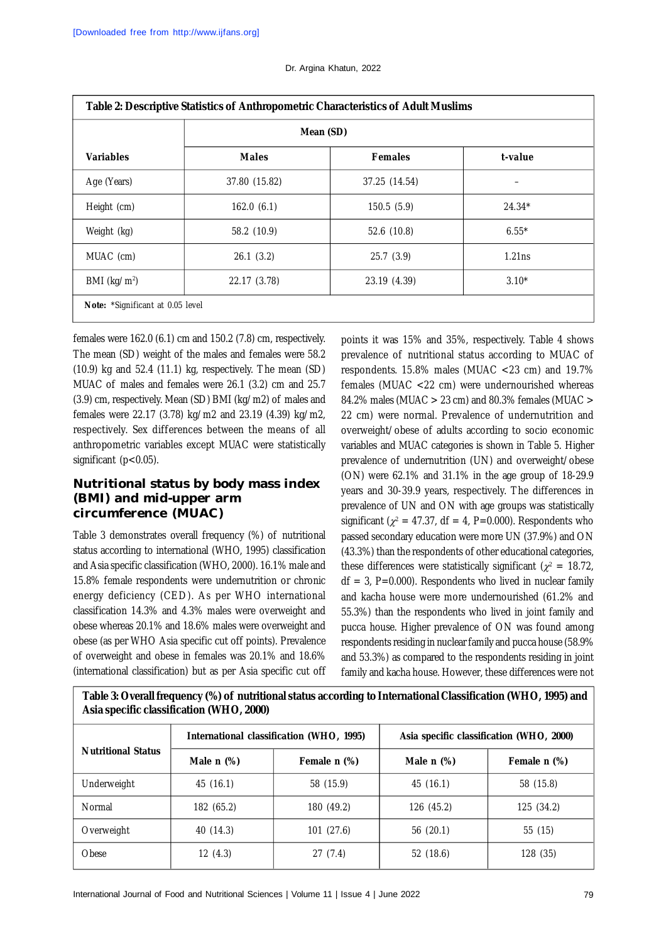| Table 2: Descriptive Statistics of Anthropometric Characteristics of Adult Muslims |               |                |          |
|------------------------------------------------------------------------------------|---------------|----------------|----------|
|                                                                                    | Mean (SD)     |                |          |
| <b>Variables</b>                                                                   | <b>Males</b>  | <b>Females</b> | t-value  |
| Age (Years)                                                                        | 37.80 (15.82) | 37.25 (14.54)  |          |
| Height (cm)                                                                        | 162.0(6.1)    | 150.5(5.9)     | $24.34*$ |
| Weight (kg)                                                                        | 58.2 (10.9)   | 52.6 (10.8)    | $6.55*$  |
| MUAC (cm)                                                                          | 26.1(3.2)     | 25.7(3.9)      | 1.21ns   |
| BMI ( $kg/m2$ )                                                                    | 22.17 (3.78)  | 23.19 (4.39)   | $3.10*$  |
| Note: *Significant at 0.05 level                                                   |               |                |          |

#### Dr. Argina Khatun, 2022

females were 162.0 (6.1) cm and 150.2 (7.8) cm, respectively. The mean (SD) weight of the males and females were 58.2 (10.9) kg and 52.4 (11.1) kg, respectively. The mean (SD) MUAC of males and females were 26.1 (3.2) cm and 25.7 (3.9) cm, respectively. Mean (SD) BMI (kg/m2) of males and females were 22.17 (3.78) kg/m2 and 23.19 (4.39) kg/m2, respectively. Sex differences between the means of all anthropometric variables except MUAC were statistically significant (p<0.05).

## **Nutritional status by body mass index (BMI) and mid-upper arm circumference (MUAC)**

Table 3 demonstrates overall frequency (%) of nutritional status according to international (WHO, 1995) classification and Asia specific classification (WHO, 2000). 16.1% male and 15.8% female respondents were undernutrition or chronic energy deficiency (CED). As per WHO international classification 14.3% and 4.3% males were overweight and obese whereas 20.1% and 18.6% males were overweight and obese (as per WHO Asia specific cut off points). Prevalence of overweight and obese in females was 20.1% and 18.6% (international classification) but as per Asia specific cut off

points it was 15% and 35%, respectively. Table 4 shows prevalence of nutritional status according to MUAC of respondents. 15.8% males (MUAC <23 cm) and 19.7% females (MUAC <22 cm) were undernourished whereas 84.2% males (MUAC > 23 cm) and 80.3% females (MUAC > 22 cm) were normal. Prevalence of undernutrition and overweight/obese of adults according to socio economic variables and MUAC categories is shown in Table 5. Higher prevalence of undernutrition (UN) and overweight/obese (ON) were 62.1% and 31.1% in the age group of 18-29.9 years and 30-39.9 years, respectively. The differences in prevalence of UN and ON with age groups was statistically significant ( $\chi^2$  = 47.37, df = 4, P=0.000). Respondents who passed secondary education were more UN (37.9%) and ON (43.3%) than the respondents of other educational categories, these differences were statistically significant ( $\chi^2$  = 18.72,  $df = 3$ , P=0.000). Respondents who lived in nuclear family and kacha house were more undernourished (61.2% and 55.3%) than the respondents who lived in joint family and pucca house. Higher prevalence of ON was found among respondents residing in nuclear family and pucca house (58.9% and 53.3%) as compared to the respondents residing in joint family and kacha house. However, these differences were not

**Table 3: Overall frequency (%) of nutritional status according to International Classification (WHO, 1995) and Asia specific classification (WHO, 2000)**

| <b>Nutritional Status</b> | International classification (WHO, 1995) |              | Asia specific classification (WHO, 2000) |              |  |
|---------------------------|------------------------------------------|--------------|------------------------------------------|--------------|--|
|                           | Male $n$ $(\%)$                          | Female n (%) | Male $n$ $%$ )                           | Female n (%) |  |
| Underweight               | 45 (16.1)                                | 58 (15.9)    | 45(16.1)                                 | 58 (15.8)    |  |
| Normal                    | 182 (65.2)                               | 180 (49.2)   | 126 (45.2)                               | 125 (34.2)   |  |
| Overweight                | 40 (14.3)                                | 101 (27.6)   | 56(20.1)                                 | 55 (15)      |  |
| Obese                     | 12(4.3)                                  | 27(7.4)      | 52 (18.6)                                | 128 (35)     |  |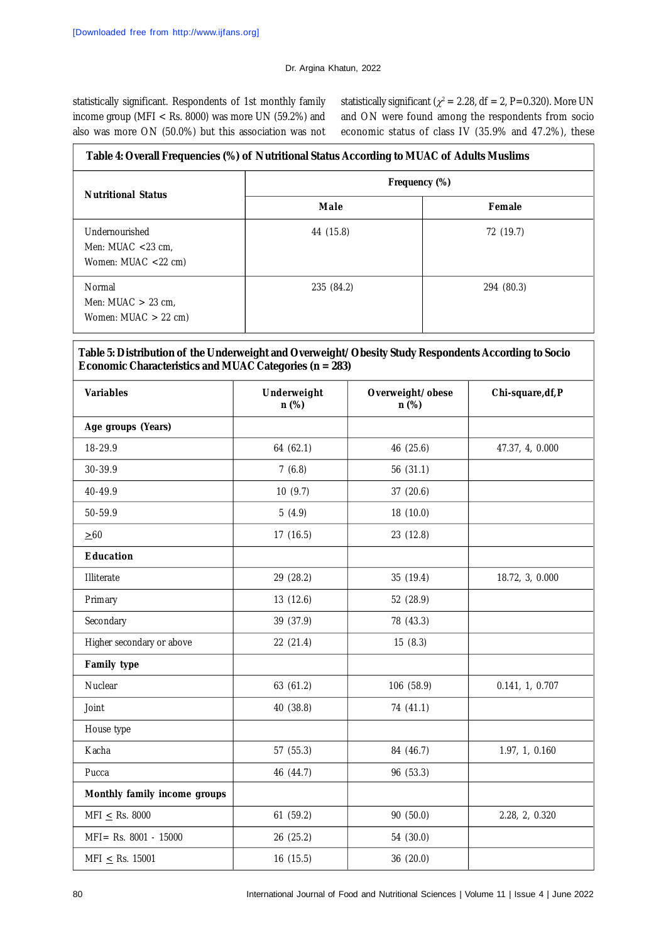statistically significant. Respondents of 1st monthly family income group (MFI < Rs. 8000) was more UN (59.2%) and also was more ON (50.0%) but this association was not

statistically significant ( $\chi^2$  = 2.28, df = 2, P=0.320). More UN and ON were found among the respondents from socio economic status of class IV (35.9% and 47.2%), these

| Table 4: Overall Frequencies (%) of Nutritional Status According to MUAC of Adults Muslims |               |            |  |
|--------------------------------------------------------------------------------------------|---------------|------------|--|
| <b>Nutritional Status</b>                                                                  | Frequency (%) |            |  |
|                                                                                            | Male          | Female     |  |
| Undernourished<br>Men: MUAC $<$ 23 cm.<br>Women: $MUAC < 22$ cm)                           | 44 (15.8)     | 72 (19.7)  |  |
| Normal<br>Men: MUAC $>$ 23 cm,<br>Women: $MUAC > 22$ cm)                                   | 235 (84.2)    | 294 (80.3) |  |

## **Table 5: Distribution of the Underweight and Overweight/Obesity Study Respondents According to Socio Economic Characteristics and MUAC Categories (n = 283)**

| <b>Variables</b>             | Underweight<br>n (%) | Overweight/obese<br>n (%) | Chi-square, df, P |
|------------------------------|----------------------|---------------------------|-------------------|
| Age groups (Years)           |                      |                           |                   |
| 18-29.9                      | 64 (62.1)            | 46 (25.6)                 | 47.37, 4, 0.000   |
| 30-39.9                      | 7(6.8)               | 56 (31.1)                 |                   |
| 40-49.9                      | 10(9.7)              | 37 (20.6)                 |                   |
| 50-59.9                      | 5(4.9)               | 18 (10.0)                 |                   |
| $\geq 60$                    | 17 (16.5)            | 23 (12.8)                 |                   |
| <b>Education</b>             |                      |                           |                   |
| Illiterate                   | 29 (28.2)            | 35 (19.4)                 | 18.72, 3, 0.000   |
| Primary                      | 13 (12.6)            | 52 (28.9)                 |                   |
| Secondary                    | 39 (37.9)            | 78 (43.3)                 |                   |
| Higher secondary or above    | 22 (21.4)            | 15(8.3)                   |                   |
| Family type                  |                      |                           |                   |
| Nuclear                      | 63 (61.2)            | 106 (58.9)                | 0.141, 1, 0.707   |
| Joint                        | 40 (38.8)            | 74 (41.1)                 |                   |
| House type                   |                      |                           |                   |
| Kacha                        | 57 (55.3)            | 84 (46.7)                 | 1.97, 1, 0.160    |
| Pucca                        | 46 (44.7)            | 96 (53.3)                 |                   |
| Monthly family income groups |                      |                           |                   |
| MFI $\le$ Rs. 8000           | 61 (59.2)            | 90 (50.0)                 | 2.28, 2, 0.320    |
| MFI= Rs. 8001 - 15000        | 26 (25.2)            | 54 (30.0)                 |                   |
| MFI $\leq$ Rs. 15001         | 16 (15.5)            | 36 (20.0)                 |                   |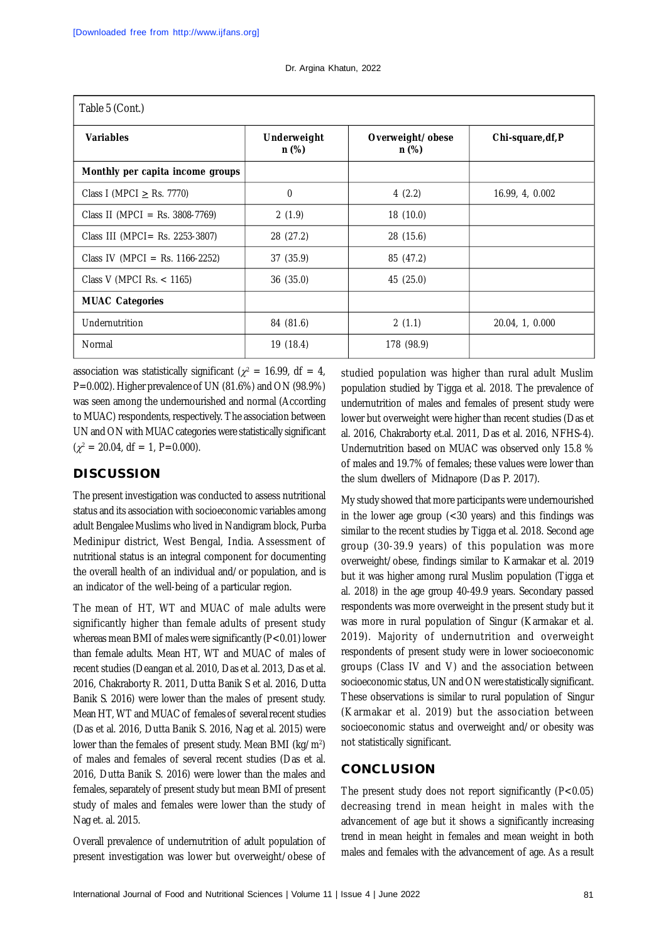| Table 5 (Cont.)        |                           |                   |  |
|------------------------|---------------------------|-------------------|--|
| Underweight<br>$n$ (%) | Overweight/obese<br>n (%) | Chi-square, df, P |  |
|                        |                           |                   |  |
| $\mathbf{0}$           | 4(2.2)                    | 16.99, 4, 0.002   |  |
| 2(1.9)                 | 18 (10.0)                 |                   |  |
| 28 (27.2)              | 28 (15.6)                 |                   |  |
| 37 (35.9)              | 85 (47.2)                 |                   |  |
| 36(35.0)               | 45 (25.0)                 |                   |  |
|                        |                           |                   |  |
| 84 (81.6)              | 2(1.1)                    | 20.04, 1, 0.000   |  |
| 19(18.4)               | 178 (98.9)                |                   |  |
|                        |                           |                   |  |

association was statistically significant ( $\chi^2$  = 16.99, df = 4, P=0.002). Higher prevalence of UN (81.6%) and ON (98.9%) was seen among the undernourished and normal (According to MUAC) respondents, respectively. The association between UN and ON with MUAC categories were statistically significant  $(\chi^2 = 20.04, df = 1, P=0.000).$ 

# **DISCUSSION**

The present investigation was conducted to assess nutritional status and its association with socioeconomic variables among adult Bengalee Muslims who lived in Nandigram block, Purba Medinipur district, West Bengal, India. Assessment of nutritional status is an integral component for documenting the overall health of an individual and/or population, and is an indicator of the well-being of a particular region.

The mean of HT, WT and MUAC of male adults were significantly higher than female adults of present study whereas mean BMI of males were significantly (P<0.01) lower than female adults. Mean HT, WT and MUAC of males of recent studies (Deangan et al. 2010, Das et al. 2013, Das et al. 2016, Chakraborty R. 2011, Dutta Banik S et al. 2016, Dutta Banik S. 2016) were lower than the males of present study. Mean HT, WT and MUAC of females of several recent studies (Das et al. 2016, Dutta Banik S. 2016, Nag et al. 2015) were lower than the females of present study. Mean BMI (kg/m<sup>2</sup> ) of males and females of several recent studies (Das et al. 2016, Dutta Banik S. 2016) were lower than the males and females, separately of present study but mean BMI of present study of males and females were lower than the study of Nag et. al. 2015.

Overall prevalence of undernutrition of adult population of present investigation was lower but overweight/obese of

studied population was higher than rural adult Muslim population studied by Tigga et al. 2018. The prevalence of undernutrition of males and females of present study were lower but overweight were higher than recent studies (Das et al. 2016, Chakraborty et.al. 2011, Das et al. 2016, NFHS-4). Undernutrition based on MUAC was observed only 15.8 % of males and 19.7% of females; these values were lower than the slum dwellers of Midnapore (Das P. 2017).

My study showed that more participants were undernourished in the lower age group (<30 years) and this findings was similar to the recent studies by Tigga et al. 2018. Second age group (30-39.9 years) of this population was more overweight/obese, findings similar to Karmakar et al. 2019 but it was higher among rural Muslim population (Tigga et al. 2018) in the age group 40-49.9 years. Secondary passed respondents was more overweight in the present study but it was more in rural population of Singur (Karmakar et al. 2019). Majority of undernutrition and overweight respondents of present study were in lower socioeconomic groups (Class IV and V) and the association between socioeconomic status, UN and ON were statistically significant. These observations is similar to rural population of Singur (Karmakar et al. 2019) but the association between socioeconomic status and overweight and/or obesity was not statistically significant.

## **CONCLUSION**

The present study does not report significantly  $(P<0.05)$ decreasing trend in mean height in males with the advancement of age but it shows a significantly increasing trend in mean height in females and mean weight in both males and females with the advancement of age. As a result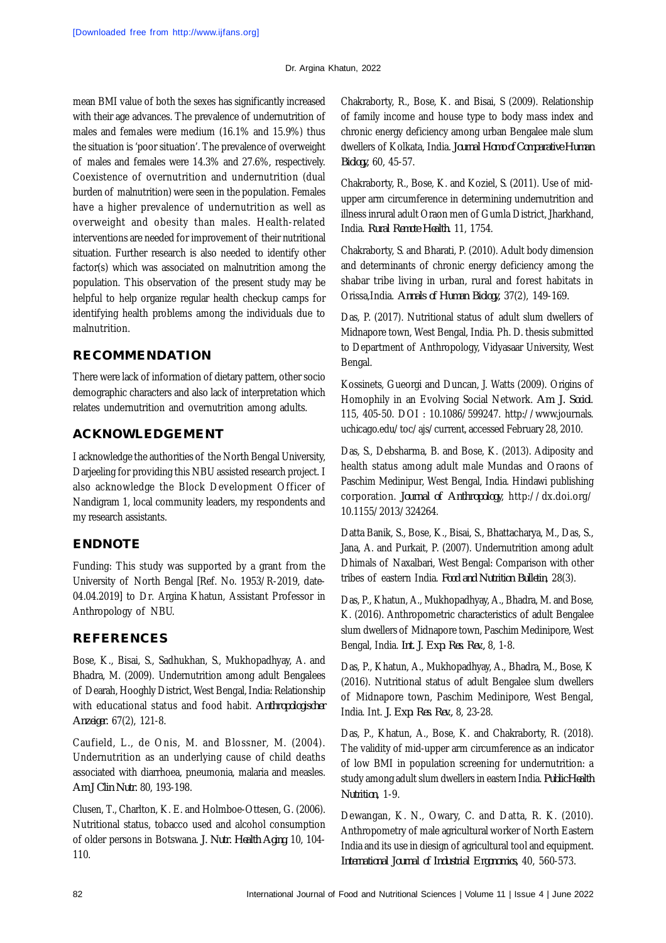mean BMI value of both the sexes has significantly increased with their age advances. The prevalence of undernutrition of males and females were medium (16.1% and 15.9%) thus the situation is 'poor situation'. The prevalence of overweight of males and females were 14.3% and 27.6%, respectively. Coexistence of overnutrition and undernutrition (dual burden of malnutrition) were seen in the population. Females have a higher prevalence of undernutrition as well as overweight and obesity than males. Health-related interventions are needed for improvement of their nutritional situation. Further research is also needed to identify other factor(s) which was associated on malnutrition among the population. This observation of the present study may be helpful to help organize regular health checkup camps for identifying health problems among the individuals due to malnutrition.

# **RECOMMENDATION**

There were lack of information of dietary pattern, other socio demographic characters and also lack of interpretation which relates undernutrition and overnutrition among adults.

# **ACKNOWLEDGEMENT**

I acknowledge the authorities of the North Bengal University, Darjeeling for providing this NBU assisted research project. I also acknowledge the Block Development Officer of Nandigram 1, local community leaders, my respondents and my research assistants.

# **ENDNOTE**

Funding: This study was supported by a grant from the University of North Bengal [Ref. No. 1953/R-2019, date-04.04.2019] to Dr. Argina Khatun, Assistant Professor in Anthropology of NBU.

# **REFERENCES**

Bose, K., Bisai, S., Sadhukhan, S., Mukhopadhyay, A. and Bhadra, M. (2009). Undernutrition among adult Bengalees of Dearah, Hooghly District, West Bengal, India: Relationship with educational status and food habit. *Anthropologischer Anzeiger.* 67(2), 121-8.

Caufield, L., de Onis, M. and Blossner, M. (2004). Undernutrition as an underlying cause of child deaths associated with diarrhoea, pneumonia, malaria and measles. *Am J Clin Nutr.* 80, 193-198.

Clusen, T., Charlton, K. E. and Holmboe-Ottesen, G. (2006). Nutritional status, tobacco used and alcohol consumption of older persons in Botswana. *J. Nutr. Health Aging.* 10, 104- 110.

Chakraborty, R., Bose, K. and Bisai, S (2009). Relationship of family income and house type to body mass index and chronic energy deficiency among urban Bengalee male slum dwellers of Kolkata, India. *Journal Homo of Comparative Human Biology,* 60, 45-57.

Chakraborty, R., Bose, K. and Koziel, S. (2011). Use of midupper arm circumference in determining undernutrition and illness inrural adult Oraon men of Gumla District, Jharkhand, India. *Rural Remote Health.* 11, 1754.

Chakraborty, S. and Bharati, P. (2010). Adult body dimension and determinants of chronic energy deficiency among the shabar tribe living in urban, rural and forest habitats in Orissa,India. *Annals of Human Biology,* 37(2), 149-169.

Das, P. (2017). Nutritional status of adult slum dwellers of Midnapore town, West Bengal, India. Ph. D. thesis submitted to Department of Anthropology, Vidyasaar University, West Bengal.

Kossinets, Gueorgi and Duncan, J. Watts (2009). Origins of Homophily in an Evolving Social Network. *Am. J. Sociol*. 115, 405-50. DOI : 10.1086/599247. <http://www.journals.> uchicago.edu/toc/ajs/current, accessed February 28, 2010.

Das, S., Debsharma, B. and Bose, K. (2013). Adiposity and health status among adult male Mundas and Oraons of Paschim Medinipur, West Bengal, India. Hindawi publishing corporation. *Journal of Anthropology*, <http://dx.doi.org/> 10.1155/2013/324264.

Datta Banik, S., Bose, K., Bisai, S., Bhattacharya, M., Das, S., Jana, A. and Purkait, P. (2007). Undernutrition among adult Dhimals of Naxalbari, West Bengal: Comparison with other tribes of eastern India. *Food and Nutrition Bulletin*, 28(3).

Das, P., Khatun, A., Mukhopadhyay, A., Bhadra, M. and Bose, K. (2016). Anthropometric characteristics of adult Bengalee slum dwellers of Midnapore town, Paschim Medinipore, West Bengal, India. *Int. J. Exp. Res. Rev.,* 8, 1-8.

Das, P., Khatun, A., Mukhopadhyay, A., Bhadra, M., Bose, K (2016). Nutritional status of adult Bengalee slum dwellers of Midnapore town, Paschim Medinipore, West Bengal, India. Int. *J. Exp. Res. Rev.,* 8, 23-28.

Das, P., Khatun, A., Bose, K. and Chakraborty, R. (2018). The validity of mid-upper arm circumference as an indicator of low BMI in population screening for undernutrition: a study among adult slum dwellers in eastern India. *Public Health Nutrition,* 1-9.

Dewangan, K. N., Owary, C. and Datta, R. K. (2010). Anthropometry of male agricultural worker of North Eastern India and its use in diesign of agricultural tool and equipment. *International Journal of Industrial Ergonomics,* 40, 560-573.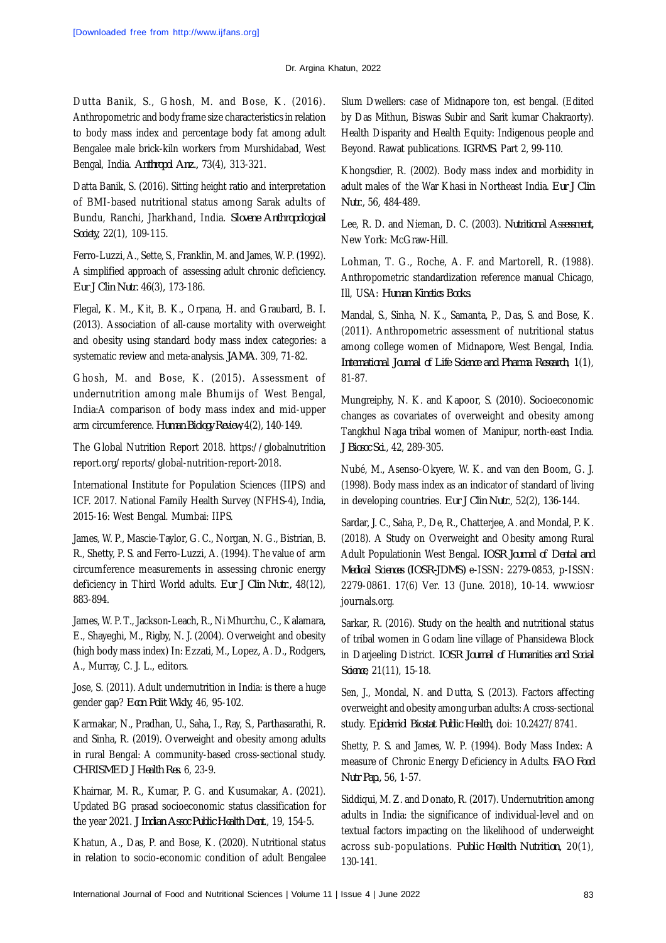#### Dr. Argina Khatun, 2022

Dutta Banik, S., Ghosh, M. and Bose, K. (2016). Anthropometric and body frame size characteristics in relation to body mass index and percentage body fat among adult Bengalee male brick-kiln workers from Murshidabad, West Bengal, India. *Anthropol Anz.,* 73(4), 313-321.

Datta Banik, S. (2016). Sitting height ratio and interpretation of BMI-based nutritional status among Sarak adults of Bundu, Ranchi, Jharkhand, India. *Slovene Anthropological Society,* 22(1), 109-115.

Ferro-Luzzi, A., Sette, S., Franklin, M. and James, W. P. (1992). A simplified approach of assessing adult chronic deficiency. *Eur J Clin Nutr.* 46(3), 173-186.

Flegal, K. M., Kit, B. K., Orpana, H. and Graubard, B. I. (2013). Association of all-cause mortality with overweight and obesity using standard body mass index categories: a systematic review and meta-analysis. *JAMA*. 309, 71-82.

Ghosh, M. and Bose, K. (2015). Assessment of undernutrition among male Bhumijs of West Bengal, India:A comparison of body mass index and mid-upper arm circumference. *Human Biology Review,* 4(2), 140-149.

The Global Nutrition Report 2018. <https://globalnutrition> report.org/reports/global-nutrition-report-2018.

International Institute for Population Sciences (IIPS) and ICF. 2017. National Family Health Survey (NFHS-4), India, 2015-16: West Bengal. Mumbai: IIPS.

James, W. P., Mascie-Taylor, G. C., Norgan, N. G., Bistrian, B. R., Shetty, P. S. and Ferro-Luzzi, A. (1994). The value of arm circumference measurements in assessing chronic energy deficiency in Third World adults. *Eur J Clin Nutr.,* 48(12), 883-894.

James, W. P. T., Jackson-Leach, R., Ni Mhurchu, C., Kalamara, E., Shayeghi, M., Rigby, N. J. (2004). Overweight and obesity (high body mass index) In: Ezzati, M., Lopez, A. D., Rodgers, A., Murray, C. J. L., editors.

Jose, S. (2011). Adult undernutrition in India: is there a huge gender gap? *Econ Polit Wkly,* 46, 95-102.

Karmakar, N., Pradhan, U., Saha, I., Ray, S., Parthasarathi, R. and Sinha, R. (2019). Overweight and obesity among adults in rural Bengal: A community-based cross-sectional study. *CHRISMED J Health Res.* 6, 23-9.

Khairnar, M. R., Kumar, P. G. and Kusumakar, A. (2021). Updated BG prasad socioeconomic status classification for the year 2021. *J Indian Assoc Public Health Dent*., 19, 154-5.

Khatun, A., Das, P. and Bose, K. (2020). Nutritional status in relation to socio-economic condition of adult Bengalee Slum Dwellers: case of Midnapore ton, est bengal. (Edited by Das Mithun, Biswas Subir and Sarit kumar Chakraorty). Health Disparity and Health Equity: Indigenous people and Beyond. Rawat publications. *IGRMS*. Part 2, 99-110.

Khongsdier, R. (2002). Body mass index and morbidity in adult males of the War Khasi in Northeast India. *Eur J Clin Nutr*., 56, 484-489.

Lee, R. D. and Nieman, D. C. (2003). *Nutritional Assessment,* New York: McGraw-Hill.

Lohman, T. G., Roche, A. F. and Martorell, R. (1988). Anthropometric standardization reference manual Chicago, Ill, USA: *Human Kinetics Books*.

Mandal, S., Sinha, N. K., Samanta, P., Das, S. and Bose, K. (2011). Anthropometric assessment of nutritional status among college women of Midnapore, West Bengal, India. *International Journal of Life Science and Pharma Research*, 1(1), 81-87.

Mungreiphy, N. K. and Kapoor, S. (2010). Socioeconomic changes as covariates of overweight and obesity among Tangkhul Naga tribal women of Manipur, north-east India. *J Biosoc Sci*., 42, 289-305.

Nubé, M., Asenso-Okyere, W. K. and van den Boom, G. J. (1998). Body mass index as an indicator of standard of living in developing countries. *Eur J Clin Nutr*., 52(2), 136-144.

Sardar, J. C., Saha, P., De, R., Chatterjee, A. and Mondal, P. K. (2018). A Study on Overweight and Obesity among Rural Adult Populationin West Bengal. *IOSR Journal of Dental and Medical Sciences (IOSR-JDMS)* e-ISSN: 2279-0853, p-ISSN: 2279-0861. 17(6) Ver. 13 (June. 2018), 10-14. www.iosr journals.org.

Sarkar, R. (2016). Study on the health and nutritional status of tribal women in Godam line village of Phansidewa Block in Darjeeling District. *IOSR Journal of Humanities and Social Science*, 21(11), 15-18.

Sen, J., Mondal, N. and Dutta, S. (2013). Factors affecting overweight and obesity among urban adults: A cross-sectional study. *Epidemiol Biostat Public Health,* doi: 10.2427/8741.

Shetty, P. S. and James, W. P. (1994). Body Mass Index: A measure of Chronic Energy Deficiency in Adults. *FAO Food Nutr Pap.,* 56, 1-57.

Siddiqui, M. Z. and Donato, R. (2017). Undernutrition among adults in India: the significance of individual-level and on textual factors impacting on the likelihood of underweight across sub-populations. *Public Health Nutrition,* 20(1), 130-141.